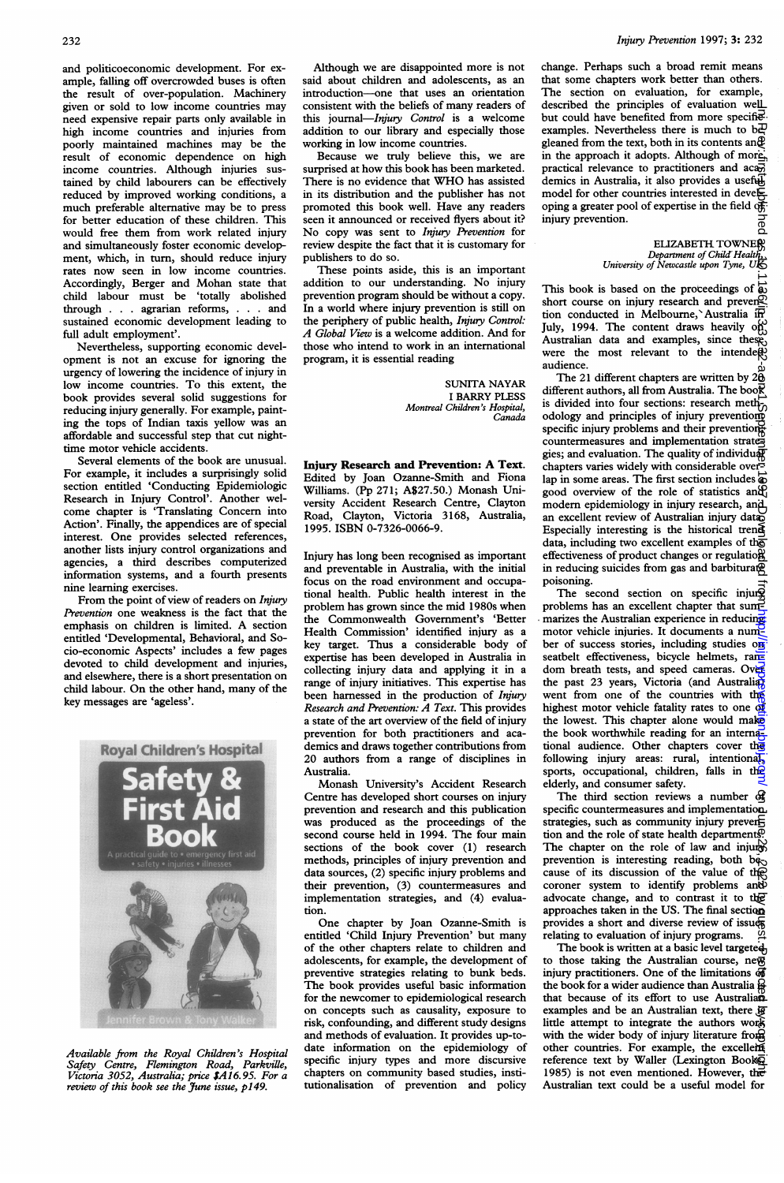and politicoeconomic development. For example, falling off overcrowded buses is often the result of over-population. Machinery given or sold to low income countries may need expensive repair parts only available in high income countries and injuries from poorly maintained machines may be the result of economic dependence on high income countries. Although injuries sustained by child labourers can be effectively reduced by improved working conditions, a much preferable alternative may be to press for better education of these children. This would free them from work related injury and simultaneously foster economic development, which, in turn, should reduce injury rates now seen in low income countries. Accordingly, Berger and Mohan state that child labour must be 'totally abolished through . . agrarian reforms, . . . and sustained economic development leading to full adult employment'.

Nevertheless, supporting economic development is not an excuse for ignoring the urgency of lowering the incidence of injury in low income countries. To this extent, the book provides several solid suggestions for reducing injury generally. For example, painting the tops of Indian taxis yellow was an affordable and successful step that cut nighttime motor vehicle accidents.

Several elements of the book are unusual. For example, it includes a surprisingly solid section entitled 'Conducting Epidemiologic Research in Injury Control'. Another welcome chapter is 'Translating Concern into Action'. Finally, the appendices are of special interest. One provides selected references, another lists injury control organizations and agencies, a third describes computerized information systems, and a fourth presents nine learming exercises.

From the point of view of readers on Injury Prevention one weakness is the fact that the emphasis on children is limited. A section entitled 'Developmental, Behavioral, and Socio-economic Aspects' includes a few pages devoted to child development and injuries, and elsewhere, there is a short presentation on child labour. On the other hand, many of the key messages are 'ageless'.



Available from the Royal Children's Hospital Safety Centre, Flemington Road, Parkville, Victoria 3052, Australia; price SA16.95. For a review of this book see the June issue, p149.

Although we are disappointed more is not said about children and adolescents, as an introduction-one that uses an orientation consistent with the beliefs of many readers of this journal-Injury Control is a welcome addition to our library and especially those working in low income countries.

Because we truly believe this, we are surprised at how this book has been marketed. There is no evidence that WHO has assisted in its distribution and the publisher has not promoted this book well. Have any readers seen it announced or received flyers about it? No copy was sent to Injury Prevention for review despite the fact that it is customary for publishers to do so.

These points aside, this is an important addition to our understanding. No injury prevention program should be without a copy. In a world where injury prevention is still on the periphery of public health, Injury Control: A Global View is <sup>a</sup> welcome addition. And for those who intend to work in an international program, it is essential reading

> SUNITA NAYAR <sup>I</sup> BARRY PLESS Montreal Children's Hospital, Canada

Injury Research and Prevention: A Text. Edited by Joan Ozanne-Smith and Fiona Williams. (Pp 271; A\$27.50.) Monash University Accident Research Centre, Clayton Road, Clayton, Victoria 3168, Australia, 1995. ISBN 0-7326-0066-9.

Injury has long been recognised as important and preventable in Australia, with the initial focus on the road environment and occupational health. Public health interest in the problem has grown since the mid 1980s when the Commonwealth Government's 'Better Health Commission' identified injury as a key target. Thus a considerable body of expertise has been developed in Australia in collecting injury data and applying it in a range of injury initiatives. This expertise has been harnessed in the production of Injury Research and Prevention: A Text. This provides a state of the art overview of the field of injury prevention for both practitioners and academics and draws together contributions from 20 authors from a range of disciplines in Australia.

Monash University's Accident Research Centre has developed short courses on injury prevention and research and this publication was produced as the proceedings of the second course held in 1994. The four main sections of the book cover (1) research methods, principles of injury prevention and data sources, (2) specific injury problems and their prevention, (3) countermeasures and implementation strategies, and (4) evaluation.

One chapter by Joan Ozanne-Smith is entitled 'Child Injury Prevention' but many of the other chapters relate to children and adolescents, for example, the development of preventive strategies relating to bunk beds. The book provides useful basic information for the newcomer to epidemiological research on concepts such as causality, exposure to risk, confounding, and different study designs and methods of evaluation. It provides up-todate information on the epidemiology of specific injury types and more discursive chapters on community based studies, institutionalisation of prevention and policy

change. Perhaps such a broad remit means that some chapters work better than others. The section on evaluation, for example, described the principles of evaluation well but could have benefited from more specifieexamples. Nevertheless there is much to be gleaned from the text, both in its contents and in the approach it adopts. Although of more, practical relevance to practitioners and  $aca\overline{5}$ demics in Australia, it also provides a useful, model for other countries interested in developing a greater pool of expertise in the field of injury prevention. శై

## ELIZABETR TOWNER , Department of Child Health<br>University of Newcastle upon Tyne, U**K**

This book is based on the proceedings of  $\overrightarrow{a}$ short course on injury research and preven<sup>2</sup> tion conducted in Melbourne, Australia in July, 1994. The content draws heavily  $\delta_{\Omega}^{(1)}$ Australian data and examples, since thes<sub>R</sub> were the most relevant to the intended. audience.

The 21 different chapters are written by  $2\overline{6}$ different authors, all from Australia. The boo $\bar{\vec{R}}$ is divided into four sections: research method odology and principles of injury preventions specific injury problems and their prevention; countermeasures and implementation strategies; and evaluation. The quality of individual chapters varies widely with considerable overlap in some areas. The first section includes  $\vec{a}$ good overview of the role of statistics and  $\mathcal{C}_1$ modern epidemiology in injury research, and an excellent review of Australian injury data Especially interesting is the historical trende data, including two excellent examples of the effectiveness of product changes or regulatio $\beta$ in reducing suicides from gas and barbiturated poisoning.  $\eta$ une Jane 2022 by groented by groenting  $\eta$ une 2022 by copyright. Downloaded by  $\eta$  and  $\eta$  in  $\eta$  and  $\eta$  in  $\eta$  and  $\eta$  in  $\eta$  and  $\eta$  in  $\eta$  and  $\eta$  is  $\eta$  in  $\eta$  and  $\eta$  is  $\eta$  is  $\eta$  is  $\eta$  is  $\eta$ 

The second section on specific injury problems has an excellent chapter that summarizes the Australian experience in reducing motor vehicle injuries. It documents a number of success stories, including studies on seatbelt effectiveness, bicycle helmets, random breath tests, and speed cameras. Over the past 23 years, Victoria (and Australia) went from one of the countries with the highest motor vehicle fatality rates to one  $\overrightarrow{\alpha}$ the lowest. This chapter alone would make the book worthwhile reading for an international audience. Other chapters cover the following injury areas: rural, intentional, sports, occupational, children, falls in the elderly, and consumer safety.

The third section reviews a number  $of$ specific countermeasures and implementation strategies, such as community injury prever<del>i.</del> tion and the role of state health departments<sup>p</sup>. The chapter on the role of law and injury prevention is interesting reading, both  $b\ddot{\xi}$ cause of its discussion of the value of the coroner system to identify problems and advocate change, and to contrast it to the approaches taken in the US. The final section provides a short and diverse review of issues relating to evaluation of injury programs.

The book is written at a basic level targeted to those taking the Australian course, new injury practitioners. One of the limitations of the book for a wider audience than Australia  $\frac{1}{N}$ that because of its effort to use Australian examples and be an Australian text, there is little attempt to integrate the authors work with the wider body of injury literature from other countries. For example, the excellent reference text by Waller (Lexington Book $\overrightarrow{Q}$ 1985) is not even mentioned. However, the Australian text could be a useful model for